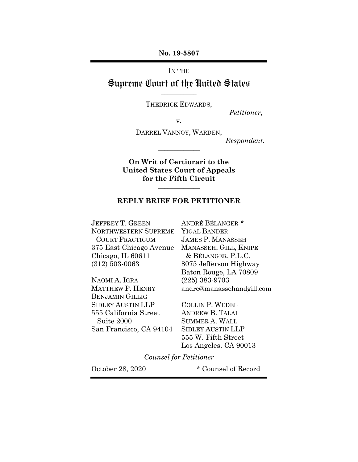**No. 19-5807**

IN THE

## Supreme Court of the United States **\_\_\_\_\_\_\_\_\_\_\_**

THEDRICK EDWARDS,

 *Petitioner,*

v.

DARREL VANNOY, WARDEN,

**\_\_\_\_\_\_\_\_\_\_\_\_\_**

 *Respondent.*

**On Writ of Certiorari to the United States Court of Appeals for the Fifth Circuit**

### **REPLY BRIEF FOR PETITIONER \_\_\_\_\_\_\_\_\_\_\_**

**\_\_\_\_\_\_\_\_\_\_\_\_\_**

JEFFREY T. GREEN ANDRÉ BÉLANGER \* NORTHWESTERN SUPREME YIGAL BANDER COURT PRACTICUM JAMES P. MANASSEH 375 East Chicago Avenue MANASSEH, GILL, KNIPE Chicago, IL 60611 & BÉLANGER, P.L.C. (312) 503-0063 8075 Jefferson Highway

NAOMI A. IGRA (225) 383-9703 BENJAMIN GILLIG SIDLEY AUSTIN LLP COLLIN P. WEDEL 555 California Street ANDREW B. TALAI Suite 2000 SUMMER A. WALL San Francisco, CA 94104 SIDLEY AUSTIN LLP

Baton Rouge, LA 70809 MATTHEW P. HENRY andre@manassehandgill.com

> 555 W. Fifth Street Los Angeles, CA 90013

*Counsel for Petitioner*

October 28, 2020  $\bullet$  Counsel of Record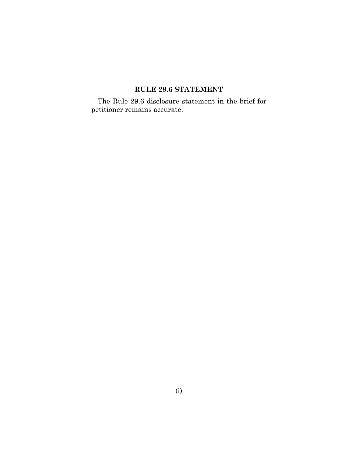# **RULE 29.6 STATEMENT**

The Rule 29.6 disclosure statement in the brief for petitioner remains accurate.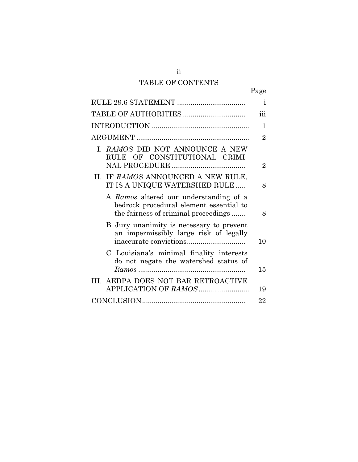# TABLE OF CONTENTS

|--|

|                                                                                                                            | $\dot{1}$      |
|----------------------------------------------------------------------------------------------------------------------------|----------------|
|                                                                                                                            | iii            |
|                                                                                                                            | $\mathbf{1}$   |
|                                                                                                                            | $\overline{2}$ |
| I. RAMOS DID NOT ANNOUNCE A NEW<br>RULE OF CONSTITUTIONAL CRIMI-                                                           | $\overline{2}$ |
| II. IF RAMOS ANNOUNCED A NEW RULE,<br>IT IS A UNIQUE WATERSHED RULE                                                        | 8              |
| A. Ramos altered our understanding of a<br>bedrock procedural element essential to<br>the fairness of criminal proceedings | 8              |
| B. Jury unanimity is necessary to prevent<br>an impermissibly large risk of legally                                        | 10             |
| C. Louisiana's minimal finality interests<br>do not negate the watershed status of                                         | 15             |
| III. AEDPA DOES NOT BAR RETROACTIVE                                                                                        | 19             |
|                                                                                                                            | 22             |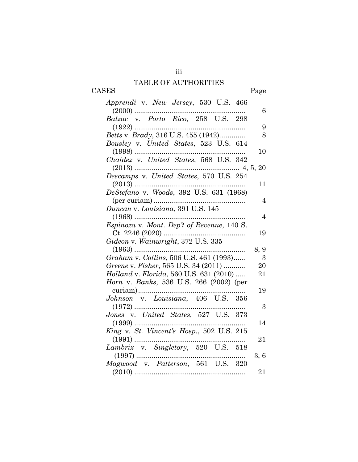# TABLE OF AUTHORITIES CASES Page

iii

| Apprendi v. New Jersey, 530 U.S. 466                                                                                           |                |
|--------------------------------------------------------------------------------------------------------------------------------|----------------|
| $(2000)$                                                                                                                       | 6              |
| Balzac v. Porto Rico, 258 U.S. 298                                                                                             |                |
|                                                                                                                                | 9              |
| Betts v. Brady, 316 U.S. 455 (1942)                                                                                            | 8              |
| Bousley v. United States, 523 U.S. 614                                                                                         |                |
|                                                                                                                                | 10             |
| Chaidez v. United States, 568 U.S. 342                                                                                         |                |
|                                                                                                                                |                |
| Descamps v. United States, 570 U.S. 254                                                                                        |                |
|                                                                                                                                | 11             |
| DeStefano v. Woods, 392 U.S. 631 (1968)                                                                                        |                |
|                                                                                                                                | 4              |
| Duncan v. Louisiana, 391 U.S. 145                                                                                              |                |
|                                                                                                                                | $\overline{4}$ |
|                                                                                                                                |                |
|                                                                                                                                | 19             |
| Gideon v. Wainwright, 372 U.S. 335                                                                                             |                |
|                                                                                                                                | 8, 9           |
| Graham v. Collins, 506 U.S. 461 (1993)                                                                                         | 3              |
| Greene v. Fisher, 565 U.S. 34 (2011)                                                                                           | 20             |
| Holland v. Florida, 560 U.S. 631 (2010)                                                                                        | 21             |
| Horn v. Banks, 536 U.S. 266 (2002) (per                                                                                        |                |
|                                                                                                                                | 19             |
|                                                                                                                                |                |
|                                                                                                                                | 3              |
| Jones v. United States, 527 U.S. 373                                                                                           |                |
|                                                                                                                                | 14             |
| King v. St. Vincent's Hosp., 502 U.S. 215                                                                                      |                |
|                                                                                                                                | 21             |
| Lambrix v. Singletory, 520 U.S. 518                                                                                            |                |
| $\begin{tabular}{c} (1997) \dots 1997 \\\hline Magwood & v. \ \ \mathit{Patters} on, \ \ 561 \quad U.S. \ \ 320 \end{tabular}$ | 3, 6           |
|                                                                                                                                |                |
|                                                                                                                                | 21             |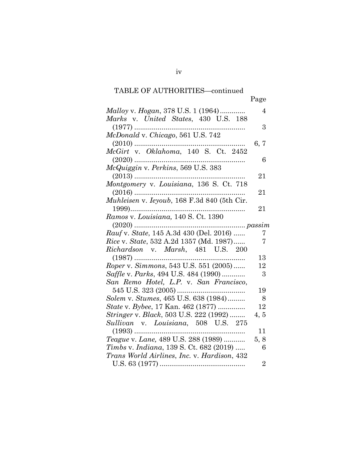| Malloy v. Hogan, 378 U.S. 1 (1964)                           | 4              |
|--------------------------------------------------------------|----------------|
| Marks v. United States, 430 U.S. 188                         |                |
| McDonald v. Chicago, 561 U.S. 742                            | 3              |
|                                                              |                |
|                                                              | 6, 7           |
| McGirt v. Oklahoma, 140 S. Ct. 2452                          | 6              |
|                                                              |                |
|                                                              |                |
|                                                              | 21             |
| Montgomery v. Louisiana, 136 S. Ct. 718                      |                |
|                                                              | 21             |
| Muhleisen v. Ieyoub, 168 F.3d 840 (5th Cir.                  |                |
|                                                              | 21             |
| Ramos v. Louisiana, 140 S. Ct. 1390                          |                |
|                                                              |                |
| Rauf v. State, 145 A.3d 430 (Del. 2016)                      | 7              |
| <i>Rice v. State, 532 A.2d 1357 (Md. 1987)</i>               | 7              |
| Richardson v. Marsh, 481 U.S. 200                            |                |
|                                                              | 13             |
| $(1987) \dots 1987, 543 \text{ U.S. } 551 (2005) \dots 1987$ | 12             |
| Saffle v. Parks, 494 U.S. 484 (1990)                         | 3              |
|                                                              |                |
| San Remo Hotel, L.P. v. San Francisco,                       |                |
|                                                              | 19             |
| Solem v. Stumes, 465 U.S. 638 (1984)                         | - 8            |
| State v. Bybee, 17 Kan. 462 (1877)                           | 12             |
| Stringer v. Black, 503 U.S. 222 (1992)                       | 4, 5           |
| Sullivan v. Louisiana, 508 U.S. 275                          |                |
|                                                              | 11             |
| Teague v. Lane, 489 U.S. 288 (1989)                          | 5, 8           |
| Timbs v. Indiana, 139 S. Ct. 682 (2019)                      | 6              |
| Trans World Airlines, Inc. v. Hardison, 432                  |                |
|                                                              | $\overline{2}$ |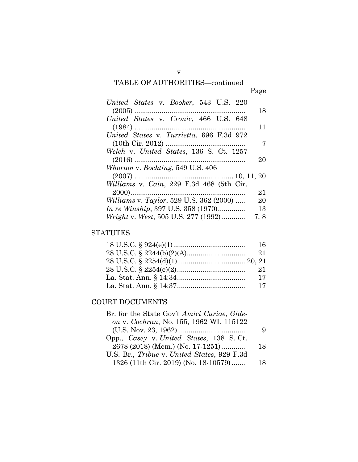| United States v. Booker, 543 U.S. 220                 |
|-------------------------------------------------------|
| 18                                                    |
| United States v. Cronic, 466 U.S. 648                 |
| 11                                                    |
| United States v. Turrietta, 696 F.3d 972              |
|                                                       |
| Welch v. United States, 136 S. Ct. 1257               |
| 20                                                    |
| Whorton v. Bockting, 549 U.S. 406                     |
|                                                       |
| Williams v. Cain, 229 F.3d 468 (5th Cir.              |
| 21                                                    |
| <i>Williams v. Taylor</i> , 529 U.S. 362 (2000)<br>20 |
| <i>In re Winship</i> , 397 U.S. 358 (1970)<br>13      |
| Wright v. West, 505 U.S. 277 (1992)<br>7, 8           |

## **STATUTES**

| 16 |
|----|
| 21 |
|    |
| 21 |
| 17 |
| 17 |

## COURT DOCUMENTS

| Br. for the State Gov't Amici Curiae, Gide- |    |
|---------------------------------------------|----|
| on v. Cochran, No. 155, 1962 WL 115122      |    |
|                                             | 9  |
| Opp., Casey v. United States, 138 S.Ct.     |    |
| 2678 (2018) (Mem.) (No. 17-1251)            | 18 |
| U.S. Br., Tribue v. United States, 929 F.3d |    |
| 1326 (11th Cir. 2019) (No. 18-10579)        | 18 |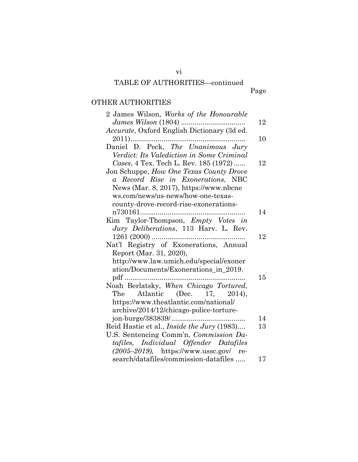Page

## OTHER AUTHORITIES

| 2 James Wilson, Works of the Honourable           |    |
|---------------------------------------------------|----|
| James Wilson (1804)                               | 12 |
| Accurate, Oxford English Dictionary (3d ed.       |    |
|                                                   | 10 |
| Daniel D. Peck, The Unanimous Jury                |    |
| Verdict: Its Valediction in Some Criminal         |    |
| Cases, 4 Tex. Tech L. Rev. 185 (1972)             | 12 |
| Jon Schuppe, How One Texas County Drove           |    |
| a Record Rise in Exonerations, NBC                |    |
| News (Mar. 8, 2017), https://www.nbcne            |    |
| ws.com/news/us-news/how-one-texas-                |    |
| county-drove-record-rise-exonerations-            |    |
|                                                   | 14 |
| Kim Taylor-Thompson, Empty Votes in               |    |
| Jury Deliberations, 113 Harv. L. Rev.             |    |
|                                                   | 12 |
| Nat'l Registry of Exonerations, Annual            |    |
| Report (Mar. 31, 2020),                           |    |
| http://www.law.umich.edu/special/exoner           |    |
| ation/Documents/Exonerations_in_2019.             |    |
| pdf                                               | 15 |
| Noah Berlatsky, When Chicago Tortured,            |    |
| Atlantic (Dec. 17, 2014),<br>The                  |    |
| https://www.theatlantic.com/national/             |    |
| archive/2014/12/chicago-police-torture-           |    |
|                                                   | 14 |
| Reid Hastie et al., <i>Inside the Jury</i> (1983) | 13 |
| U.S. Sentencing Comm'n, Commission Da-            |    |
| tafiles, Individual Offender Datafiles            |    |
| $(2005-2019)$ , https://www.ussc.gov/ re-         |    |
| search/datafiles/commission-datafiles             | 17 |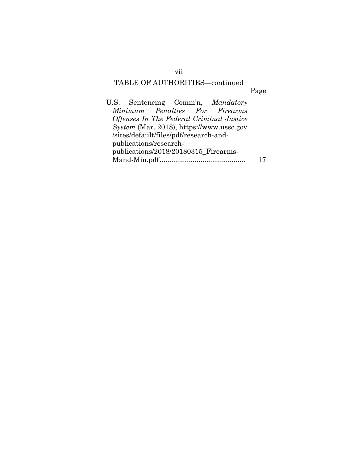| U.S. Sentencing Comm'n, Mandatory               |  |
|-------------------------------------------------|--|
| Minimum Penalties For Firearms                  |  |
| Offenses In The Federal Criminal Justice        |  |
| <i>System</i> (Mar. 2018), https://www.ussc.gov |  |
| /sites/default/files/pdf/research-and-          |  |
| publications/research-                          |  |
| publications/2018/20180315_Firearms-            |  |
|                                                 |  |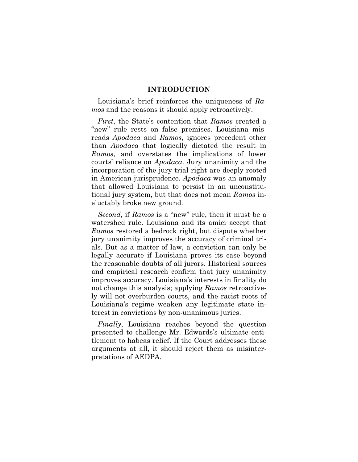### **INTRODUCTION**

Louisiana's brief reinforces the uniqueness of *Ramos* and the reasons it should apply retroactively.

*First*, the State's contention that *Ramos* created a "new" rule rests on false premises. Louisiana misreads *Apodaca* and *Ramos*, ignores precedent other than *Apodaca* that logically dictated the result in *Ramos*, and overstates the implications of lower courts' reliance on *Apodaca*. Jury unanimity and the incorporation of the jury trial right are deeply rooted in American jurisprudence. *Apodaca* was an anomaly that allowed Louisiana to persist in an unconstitutional jury system, but that does not mean *Ramos* ineluctably broke new ground.

*Second*, if *Ramos* is a "new" rule, then it must be a watershed rule. Louisiana and its amici accept that *Ramos* restored a bedrock right, but dispute whether jury unanimity improves the accuracy of criminal trials. But as a matter of law, a conviction can only be legally accurate if Louisiana proves its case beyond the reasonable doubts of all jurors. Historical sources and empirical research confirm that jury unanimity improves accuracy. Louisiana's interests in finality do not change this analysis; applying *Ramos* retroactively will not overburden courts, and the racist roots of Louisiana's regime weaken any legitimate state interest in convictions by non-unanimous juries.

*Finally*, Louisiana reaches beyond the question presented to challenge Mr. Edwards's ultimate entitlement to habeas relief. If the Court addresses these arguments at all, it should reject them as misinterpretations of AEDPA.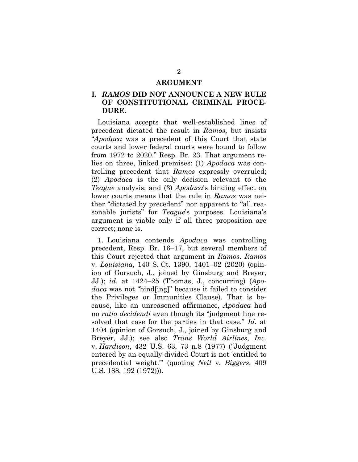### **ARGUMENT**

## **I.** *RAMOS* **DID NOT ANNOUNCE A NEW RULE OF CONSTITUTIONAL CRIMINAL PROCE-DURE.**

Louisiana accepts that well-established lines of precedent dictated the result in *Ramos*, but insists "*Apodaca* was a precedent of this Court that state courts and lower federal courts were bound to follow from 1972 to 2020." Resp. Br. 23. That argument relies on three, linked premises: (1) *Apodaca* was controlling precedent that *Ramos* expressly overruled; (2) *Apodaca* is the only decision relevant to the *Teague* analysis; and (3) *Apodaca*'s binding effect on lower courts means that the rule in *Ramos* was neither "dictated by precedent" nor apparent to "all reasonable jurists" for *Teague*'s purposes. Louisiana's argument is viable only if all three proposition are correct; none is.

1. Louisiana contends *Apodaca* was controlling precedent, Resp. Br. 16–17, but several members of this Court rejected that argument in *Ramos*. *Ramos*  v. *Louisiana*, 140 S. Ct. 1390, 1401–02 (2020) (opinion of Gorsuch, J., joined by Ginsburg and Breyer, JJ.); *id.* at 1424–25 (Thomas, J., concurring) (*Apodaca* was not "bind[ing]" because it failed to consider the Privileges or Immunities Clause). That is because, like an unreasoned affirmance, *Apodaca* had no *ratio decidendi* even though its "judgment line resolved that case for the parties in that case." *Id.* at 1404 (opinion of Gorsuch, J., joined by Ginsburg and Breyer, JJ.); see also *Trans World Airlines*, *Inc.* v. *Hardison*, 432 U.S. 63, 73 n.8 (1977) ("Judgment entered by an equally divided Court is not 'entitled to precedential weight.'" (quoting *Neil* v. *Biggers*, 409 U.S. 188, 192 (1972))).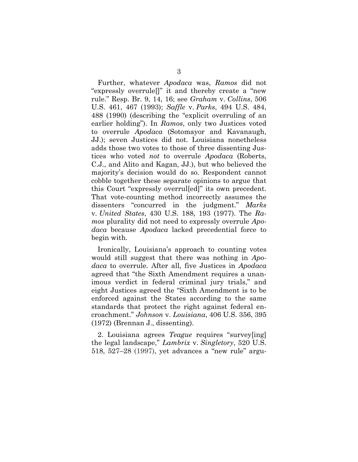Further, whatever *Apodaca* was, *Ramos* did not "expressly overrule[]" it and thereby create a "new rule." Resp. Br. 9, 14, 16; see *Graham* v. *Collins*, 506 U.S. 461, 467 (1993); *Saffle* v. *Parks*, 494 U.S. 484, 488 (1990) (describing the "explicit overruling of an earlier holding"). In *Ramos*, only two Justices voted to overrule *Apodaca* (Sotomayor and Kavanaugh, JJ.); seven Justices did not. Louisiana nonetheless adds those two votes to those of three dissenting Justices who voted *not* to overrule *Apodaca* (Roberts, C.J., and Alito and Kagan, JJ.), but who believed the majority's decision would do so. Respondent cannot cobble together these separate opinions to argue that this Court "expressly overrul[ed]" its own precedent. That vote-counting method incorrectly assumes the dissenters "concurred in the judgment." *Marks*  v. *United States*, 430 U.S. 188, 193 (1977). The *Ramos* plurality did not need to expressly overrule *Apodaca* because *Apodaca* lacked precedential force to begin with.

Ironically, Louisiana's approach to counting votes would still suggest that there was nothing in *Apodaca* to overrule. After all, five Justices in *Apodaca* agreed that "the Sixth Amendment requires a unanimous verdict in federal criminal jury trials," and eight Justices agreed the "Sixth Amendment is to be enforced against the States according to the same standards that protect the right against federal encroachment." *Johnson* v. *Louisiana*, 406 U.S. 356, 395 (1972) (Brennan J., dissenting).

2. Louisiana agrees *Teague* requires "survey[ing] the legal landscape," *Lambrix* v. *Singletory*, 520 U.S. 518, 527–28 (1997), yet advances a "new rule" argu-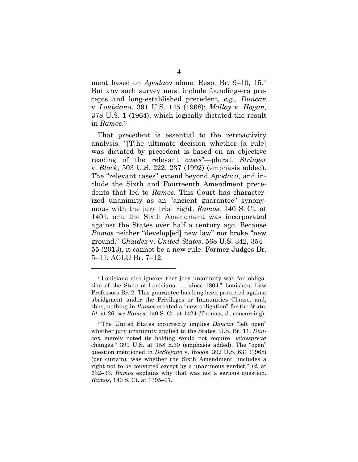ment based on *Apodaca* alone. Resp. Br. 9–10, 15.[1](#page-11-0) But any such survey must include founding-era precepts and long-established precedent, *e.g.*, *Duncan*  v. *Louisiana*, 391 U.S. 145 (1968); *Malloy* v. *Hogan*, 378 U.S. 1 (1964), which logically dictated the result in *Ramos*.[2](#page-11-1)

That precedent is essential to the retroactivity analysis. "[T]he ultimate decision whether [a rule] was dictated by precedent is based on an objective reading of the relevant *cases*"—plural. *Stringer* v. *Black*, 503 U.S. 222, 237 (1992) (emphasis added). The "relevant cases" extend beyond *Apodaca*, and include the Sixth and Fourteenth Amendment precedents that led to *Ramos*. This Court has characterized unanimity as an "ancient guarantee" synonymous with the jury trial right, *Ramos*, 140 S. Ct. at 1401, and the Sixth Amendment was incorporated against the States over half a century ago. Because *Ramos* neither "develop[ed] new law" nor broke "new ground," *Chaidez* v. *United States*, 568 U.S. 342, 354– 55 (2013), it cannot be a new rule. Former Judges Br. 5–11; ACLU Br. 7–12.

<span id="page-11-0"></span><sup>1</sup> Louisiana also ignores that jury unanimity was "an obligation of the State of Louisiana . . . since 1804." Louisiana Law Professors Br. 2. This guarantee has long been protected against abridgment under the Privileges or Immunities Clause, and, thus, nothing in *Ramos* created a "new obligation" for the State. *Id.* at 26; *see Ramos*, 140 S. Ct. at 1424 (Thomas, J., concurring).

<span id="page-11-1"></span><sup>2</sup> The United States incorrectly implies *Duncan* "left open" whether jury unanimity applied to the States. U.S. Br. 11. *Duncan* merely noted its holding would not require "*widespread* changes." 391 U.S. at 158 n.30 (emphasis added). The "open" question mentioned in *DeStefano* v. *Woods*, 392 U.S. 631 (1968) (per curiam), was whether the Sixth Amendment "includes a right not to be convicted except by a unanimous verdict." *Id.* at 632–33. *Ramos* explains why that was not a serious question. *Ramos*, 140 S. Ct. at 1395–97.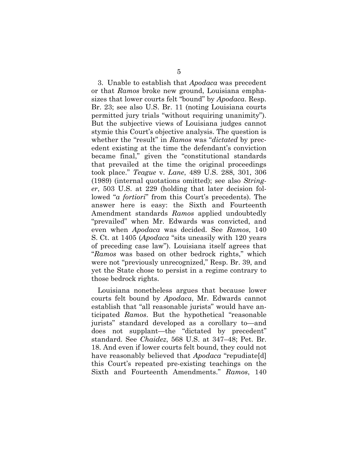3. Unable to establish that *Apodaca* was precedent or that *Ramos* broke new ground, Louisiana emphasizes that lower courts felt "bound" by *Apodaca*. Resp. Br. 23; see also U.S. Br. 11 (noting Louisiana courts permitted jury trials "without requiring unanimity"). But the subjective views of Louisiana judges cannot stymie this Court's objective analysis. The question is whether the "result" in *Ramos* was "*dictated* by precedent existing at the time the defendant's conviction became final," given the "constitutional standards that prevailed at the time the original proceedings took place." *Teague* v. *Lane*, 489 U.S. 288, 301, 306 (1989) (internal quotations omitted); see also *Stringer*, 503 U.S. at 229 (holding that later decision followed "*a fortiori*" from this Court's precedents). The answer here is easy: the Sixth and Fourteenth Amendment standards *Ramos* applied undoubtedly "prevailed" when Mr. Edwards was convicted, and even when *Apodaca* was decided. See *Ramos*, 140 S. Ct. at 1405 (*Apodaca* "sits uneasily with 120 years of preceding case law"). Louisiana itself agrees that "*Ramos* was based on other bedrock rights," which were not "previously unrecognized," Resp. Br. 39, and yet the State chose to persist in a regime contrary to those bedrock rights.

Louisiana nonetheless argues that because lower courts felt bound by *Apodaca*, Mr. Edwards cannot establish that "all reasonable jurists" would have anticipated *Ramos*. But the hypothetical "reasonable jurists" standard developed as a corollary to—and does not supplant—the "dictated by precedent" standard. See *Chaidez*, 568 U.S. at 347–48; Pet. Br. 18. And even if lower courts felt bound, they could not have reasonably believed that *Apodaca* "repudiate[d] this Court's repeated pre-existing teachings on the Sixth and Fourteenth Amendments." *Ramos*, 140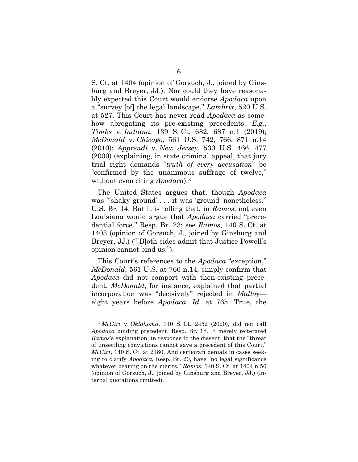S. Ct. at 1404 (opinion of Gorsuch, J., joined by Ginsburg and Breyer, JJ.). Nor could they have reasonably expected this Court would endorse *Apodaca* upon a "survey [of] the legal landscape." *Lambrix*, 520 U.S. at 527. This Court has never read *Apodaca* as somehow abrogating its pre-existing precedents. *E.g.*, *Timbs* v. *Indiana*, 139 S. Ct. 682, 687 n.1 (2019); *McDonald* v. *Chicago*, 561 U.S. 742, 766, 871 n.14 (2010); *Apprendi* v. *New Jersey*, 530 U.S. 466, 477 (2000) (explaining, in state criminal appeal, that jury trial right demands "*truth of every accusation*" be "confirmed by the unanimous suffrage of twelve," without even citing *Apodaca*).[3](#page-13-0)

The United States argues that, though *Apodaca* was "'shaky ground' . . . it was 'ground' nonetheless." U.S. Br. 14. But it is telling that, in *Ramos*, not even Louisiana would argue that *Apodaca* carried "precedential force." Resp. Br. 23; see *Ramos*, 140 S. Ct. at 1403 (opinion of Gorsuch, J., joined by Ginsburg and Breyer, JJ.) ("[B]oth sides admit that Justice Powell's opinion cannot bind us.").

This Court's references to the *Apodaca* "exception," *McDonald*, 561 U.S. at 766 n.14, simply confirm that *Apodaca* did not comport with then-existing precedent. *McDonald*, for instance, explained that partial incorporation was "decisively" rejected in *Malloy* eight years before *Apodaca*. *Id.* at 765. True, the

<span id="page-13-0"></span><sup>3</sup> *McGirt* v. *Oklahoma*, 140 S. Ct. 2452 (2020), did not call *Apodaca* binding precedent. Resp. Br. 18. It merely reiterated *Ramos*'s explanation, in response to the dissent, that the "threat of unsettling convictions cannot save a precedent of this Court." *McGirt*, 140 S. Ct. at 2480. And certiorari denials in cases seeking to clarify *Apodaca*, Resp. Br. 20, have "no legal significance whatever bearing on the merits." *Ramos*, 140 S. Ct. at 1404 n.56 (opinion of Gorsuch, J., joined by Ginsburg and Breyer, JJ.) (internal quotations omitted).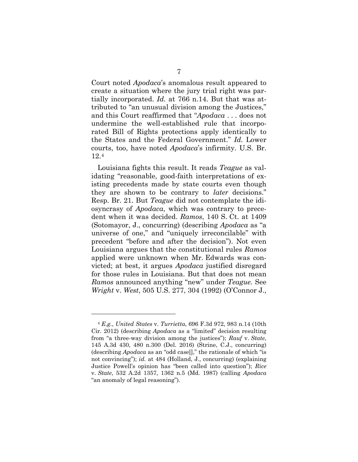Court noted *Apodaca*'s anomalous result appeared to create a situation where the jury trial right was partially incorporated. *Id.* at 766 n.14. But that was attributed to "an unusual division among the Justices," and this Court reaffirmed that "*Apodaca* . . . does not undermine the well-established rule that incorporated Bill of Rights protections apply identically to the States and the Federal Government." *Id.* Lower courts, too, have noted *Apodaca*'s infirmity. U.S. Br. 12.[4](#page-14-0)

Louisiana fights this result. It reads *Teague* as validating "reasonable, good-faith interpretations of existing precedents made by state courts even though they are shown to be contrary to *later* decisions." Resp. Br. 21. But *Teague* did not contemplate the idiosyncrasy of *Apodaca*, which was contrary to precedent when it was decided. *Ramos*, 140 S. Ct. at 1409 (Sotomayor, J., concurring) (describing *Apodaca* as "a universe of one," and "uniquely irreconcilable" with precedent "before and after the decision"). Not even Louisiana argues that the constitutional rules *Ramos*  applied were unknown when Mr. Edwards was convicted; at best, it argues *Apodaca* justified disregard for those rules in Louisiana. But that does not mean *Ramos* announced anything "new" under *Teague.* See *Wright* v. *West*, 505 U.S. 277, 304 (1992) (O'Connor J.,

<span id="page-14-0"></span><sup>4</sup> *E.g.*, *United States* v. *Turrietta*, 696 F.3d 972, 983 n.14 (10th Cir. 2012) (describing *Apodaca* as a "limited" decision resulting from "a three-way division among the justices"); *Rauf* v. *State*, 145 A.3d 430, 480 n.300 (Del. 2016) (Strine, C.J., concurring) (describing *Apodaca* as an "odd case[]," the rationale of which "is not convincing"); *id.* at 484 (Holland, J., concurring) (explaining Justice Powell's opinion has "been called into question"); *Rice* v. *State*, 532 A.2d 1357, 1362 n.5 (Md. 1987) (calling *Apodaca*  "an anomaly of legal reasoning").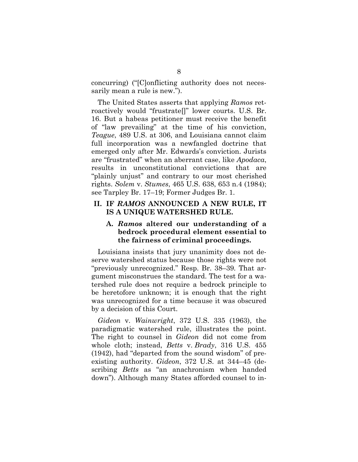concurring) ("[C]onflicting authority does not necessarily mean a rule is new.").

The United States asserts that applying *Ramos* retroactively would "frustrate[]" lower courts. U.S. Br. 16. But a habeas petitioner must receive the benefit of "law prevailing" at the time of his conviction, *Teague*, 489 U.S. at 306, and Louisiana cannot claim full incorporation was a newfangled doctrine that emerged only after Mr. Edwards's conviction. Jurists are "frustrated" when an aberrant case, like *Apodaca*, results in unconstitutional convictions that are "plainly unjust" and contrary to our most cherished rights. *Solem* v. *Stumes*, 465 U.S. 638, 653 n.4 (1984); see Tarpley Br. 17–19; Former Judges Br. 1.

### **II. IF** *RAMOS* **ANNOUNCED A NEW RULE, IT IS A UNIQUE WATERSHED RULE.**

## **A.** *Ramos* **altered our understanding of a bedrock procedural element essential to the fairness of criminal proceedings.**

Louisiana insists that jury unanimity does not deserve watershed status because those rights were not "previously unrecognized." Resp. Br. 38–39*.* That argument misconstrues the standard. The test for a watershed rule does not require a bedrock principle to be heretofore unknown; it is enough that the right was unrecognized for a time because it was obscured by a decision of this Court.

*Gideon* v. *Wainwright*, 372 U.S. 335 (1963), the paradigmatic watershed rule, illustrates the point. The right to counsel in *Gideon* did not come from whole cloth; instead, *Betts* v. *Brady*, 316 U.S. 455 (1942), had "departed from the sound wisdom" of preexisting authority. *Gideon*, 372 U.S. at 344–45 (describing *Betts* as "an anachronism when handed down"). Although many States afforded counsel to in-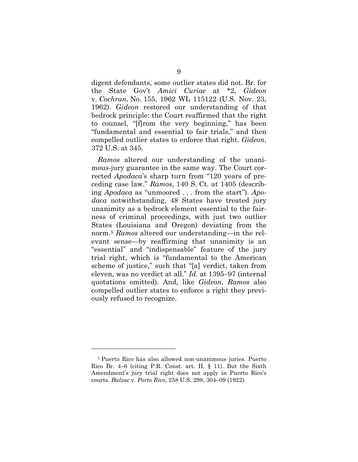digent defendants, some outlier states did not. Br. for the State Gov't *Amici Curiae* at \*2, *Gideon* v. *Cochran*, No. 155, 1962 WL 115122 (U.S. Nov. 23, 1962). *Gideon* restored our understanding of that bedrock principle: the Court reaffirmed that the right to counsel, "[f]rom the very beginning," has been "fundamental and essential to fair trials," and then compelled outlier states to enforce that right. *Gideon*, 372 U.S. at 345.

*Ramos* altered our understanding of the unanimous-jury guarantee in the same way. The Court corrected *Apodaca*'s sharp turn from "120 years of preceding case law." *Ramos*, 140 S. Ct. at 1405 (describing *Apodaca* as "unmoored . . . from the start"). *Apodaca* notwithstanding, 48 States have treated jury unanimity as a bedrock element essential to the fairness of criminal proceedings, with just two outlier States (Louisiana and Oregon) deviating from the norm[.5](#page-16-0) *Ramos* altered our understanding—in the relevant sense—by reaffirming that unanimity is an "essential" and "indispensable" feature of the jury trial right, which is "fundamental to the American scheme of justice," such that "[a] verdict, taken from eleven, was no verdict at all." *Id.* at 1395–97 (internal quotations omitted). And, like *Gideon*, *Ramos* also compelled outlier states to enforce a right they previously refused to recognize.

<span id="page-16-0"></span><sup>5</sup> Puerto Rico has also allowed non-unanimous juries. Puerto Rico Br. 4–6 (citing P.R. Const. art. II, § 11). But the Sixth Amendment's jury trial right does not apply in Puerto Rico's courts. *Balzac* v. *Porto Rico*, 258 U.S. 298, 304–09 (1922).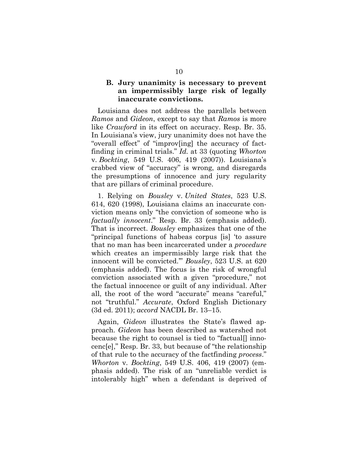## **B. Jury unanimity is necessary to prevent an impermissibly large risk of legally inaccurate convictions.**

Louisiana does not address the parallels between *Ramos* and *Gideon*, except to say that *Ramos* is more like *Crawford* in its effect on accuracy. Resp. Br. 35. In Louisiana's view, jury unanimity does not have the "overall effect" of "improv[ing] the accuracy of factfinding in criminal trials." *Id.* at 33 (quoting *Whorton* v. *Bockting*, 549 U.S. 406, 419 (2007)). Louisiana's crabbed view of "accuracy" is wrong, and disregards the presumptions of innocence and jury regularity that are pillars of criminal procedure.

1. Relying on *Bousley* v. *United States*, 523 U.S. 614, 620 (1998), Louisiana claims an inaccurate conviction means only "the conviction of someone who is *factually innocent*." Resp. Br. 33 (emphasis added). That is incorrect. *Bousley* emphasizes that one of the "principal functions of habeas corpus [is] 'to assure that no man has been incarcerated under a *procedure* which creates an impermissibly large risk that the innocent will be convicted.'" *Bousley*, 523 U.S. at 620 (emphasis added). The focus is the risk of wrongful conviction associated with a given "procedure," not the factual innocence or guilt of any individual. After all, the root of the word "accurate" means "careful," not "truthful." *Accurate*, Oxford English Dictionary (3d ed. 2011); *accord* NACDL Br. 13–15.

Again, *Gideon* illustrates the State's flawed approach. *Gideon* has been described as watershed not because the right to counsel is tied to "factual[] innocenc[e]," Resp. Br. 33, but because of "the relationship of that rule to the accuracy of the factfinding *process*." *Whorton* v. *Bockting*, 549 U.S. 406, 419 (2007) (emphasis added). The risk of an "unreliable verdict is intolerably high" when a defendant is deprived of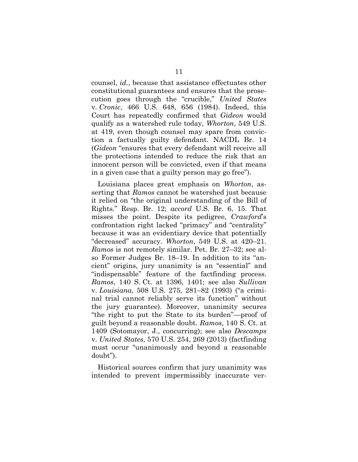counsel, *id.*, because that assistance effectuates other constitutional guarantees and ensures that the prosecution goes through the "crucible," *United States* v. *Cronic*, 466 U.S. 648, 656 (1984). Indeed, this Court has repeatedly confirmed that *Gideon* would qualify as a watershed rule today, *Whorton*, 549 U.S. at 419, even though counsel may spare from conviction a factually guilty defendant. NACDL Br. 14 (*Gideon* "ensures that every defendant will receive all the protections intended to reduce the risk that an innocent person will be convicted, even if that means in a given case that a guilty person may go free").

Louisiana places great emphasis on *Whorton*, asserting that *Ramos* cannot be watershed just because it relied on "the original understanding of the Bill of Rights." Resp. Br. 12; *accord* U.S. Br. 6, 15. That misses the point. Despite its pedigree, *Crawford*'s confrontation right lacked "primacy" and "centrality" because it was an evidentiary device that potentially "decreased" accuracy. *Whorton*, 549 U.S. at 420–21. *Ramos* is not remotely similar. Pet. Br. 27–32; see also Former Judges Br. 18–19. In addition to its "ancient" origins, jury unanimity is an "essential" and "indispensable" feature of the factfinding process. *Ramos*, 140 S. Ct. at 1396, 1401; see also *Sullivan* v. *Louisiana*, 508 U.S. 275, 281–82 (1993) ("a criminal trial cannot reliably serve its function" without the jury guarantee). Moreover, unanimity secures "the right to put the State to its burden"—proof of guilt beyond a reasonable doubt. *Ramos*, 140 S. Ct. at 1409 (Sotomayor, J., concurring); see also *Descamps* v. *United States*, 570 U.S. 254, 269 (2013) (factfinding must occur "unanimously and beyond a reasonable doubt").

Historical sources confirm that jury unanimity was intended to prevent impermissibly inaccurate ver-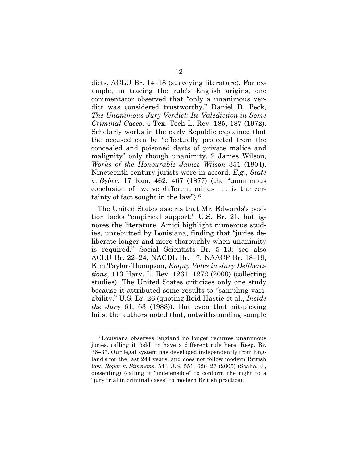dicts. ACLU Br. 14–18 (surveying literature). For example, in tracing the rule's English origins, one commentator observed that "only a unanimous verdict was considered trustworthy." Daniel D. Peck, *The Unanimous Jury Verdict: Its Valediction in Some Criminal Cases*, 4 Tex. Tech L. Rev. 185, 187 (1972). Scholarly works in the early Republic explained that the accused can be "effectually protected from the concealed and poisoned darts of private malice and malignity" only though unanimity. 2 James Wilson, *Works of the Honourable James Wilson* 351 (1804). Nineteenth century jurists were in accord. *E.g.*, *State* v. *Bybee*, 17 Kan. 462, 467 (1877) (the "unanimous conclusion of twelve different minds . . . is the certainty of fact sought in the law").[6](#page-19-0)

The United States asserts that Mr. Edwards's position lacks "empirical support," U.S. Br. 21, but ignores the literature. Amici highlight numerous studies, unrebutted by Louisiana, finding that "juries deliberate longer and more thoroughly when unanimity is required." Social Scientists Br. 5–13; see also ACLU Br. 22–24; NACDL Br. 17; NAACP Br. 18–19; Kim Taylor-Thompson, *Empty Votes in Jury Deliberations*, 113 Harv. L. Rev. 1261, 1272 (2000) (collecting studies). The United States criticizes only one study because it attributed some results to "sampling variability." U.S. Br. 26 (quoting Reid Hastie et al., *Inside the Jury* 61, 63 (1983)). But even that nit-picking fails: the authors noted that, notwithstanding sample

<span id="page-19-0"></span><sup>6</sup> Louisiana observes England no longer requires unanimous juries, calling it "odd" to have a different rule here. Resp. Br. 36–37. Our legal system has developed independently from England's for the last 244 years, and does not follow modern British law. *Roper* v. *Simmons*, 543 U.S. 551, 626–27 (2005) (Scalia, J., dissenting) (calling it "indefensible" to conform the right to a "jury trial in criminal cases" to modern British practice).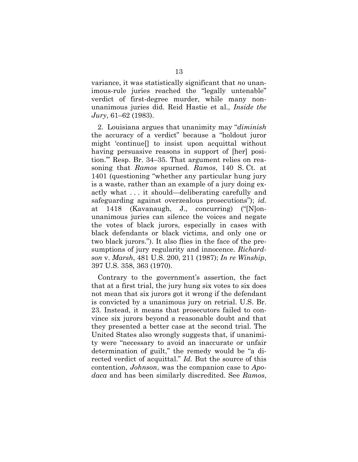variance, it was statistically significant that *no* unanimous-rule juries reached the "legally untenable" verdict of first-degree murder, while many nonunanimous juries did. Reid Hastie et al., *Inside the Jury*, 61–62 (1983).

2. Louisiana argues that unanimity may "*diminish* the accuracy of a verdict" because a "holdout juror might 'continue[] to insist upon acquittal without having persuasive reasons in support of [her] position.'" Resp. Br. 34–35. That argument relies on reasoning that *Ramos* spurned. *Ramos*, 140 S. Ct. at 1401 (questioning "whether any particular hung jury is a waste, rather than an example of a jury doing exactly what . . . it should—deliberating carefully and safeguarding against overzealous prosecutions"); *id.* at 1418 (Kavanaugh, J., concurring) ("[N]onunanimous juries can silence the voices and negate the votes of black jurors, especially in cases with black defendants or black victims, and only one or two black jurors."). It also flies in the face of the presumptions of jury regularity and innocence. *Richardson* v. *Marsh*, 481 U.S. 200, 211 (1987); *In re Winship*, 397 U.S. 358, 363 (1970).

Contrary to the government's assertion, the fact that at a first trial, the jury hung six votes to six does not mean that six jurors got it wrong if the defendant is convicted by a unanimous jury on retrial. U.S. Br. 23. Instead, it means that prosecutors failed to convince six jurors beyond a reasonable doubt and that they presented a better case at the second trial. The United States also wrongly suggests that, if unanimity were "necessary to avoid an inaccurate or unfair determination of guilt," the remedy would be "a directed verdict of acquittal." *Id.* But the source of this contention, *Johnson*, was the companion case to *Apodaca* and has been similarly discredited. See *Ramos*,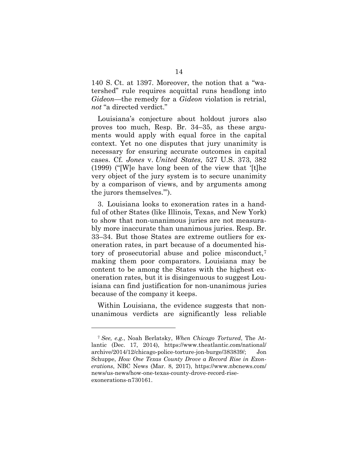140 S. Ct. at 1397. Moreover, the notion that a "watershed" rule requires acquittal runs headlong into *Gideon*—the remedy for a *Gideon* violation is retrial, *not* "a directed verdict."

Louisiana's conjecture about holdout jurors also proves too much, Resp. Br. 34–35, as these arguments would apply with equal force in the capital context. Yet no one disputes that jury unanimity is necessary for ensuring accurate outcomes in capital cases. Cf. *Jones* v. *United States*, 527 U.S. 373, 382 (1999) ("[W]e have long been of the view that '[t]he very object of the jury system is to secure unanimity by a comparison of views, and by arguments among the jurors themselves.'").

3. Louisiana looks to exoneration rates in a handful of other States (like Illinois, Texas, and New York) to show that non-unanimous juries are not measurably more inaccurate than unanimous juries. Resp. Br. 33–34. But those States are extreme outliers for exoneration rates, in part because of a documented history of prosecutorial abuse and police misconduct,[7](#page-21-0) making them poor comparators. Louisiana may be content to be among the States with the highest exoneration rates, but it is disingenuous to suggest Louisiana can find justification for non-unanimous juries because of the company it keeps.

Within Louisiana, the evidence suggests that nonunanimous verdicts are significantly less reliable

<span id="page-21-0"></span><sup>7</sup> *See, e.g.*, Noah Berlatsky, *When Chicago Tortured*, The Atlantic (Dec. 17, 2014), https://www.theatlantic.com/national/ archive/2014/12/chicago-police-torture-jon-burge/383839/; Jon Schuppe, *How One Texas County Drove a Record Rise in Exonerations*, NBC News (Mar. 8, 2017), https://www.nbcnews.com/ news/us-news/how-one-texas-county-drove-record-riseexonerations-n730161.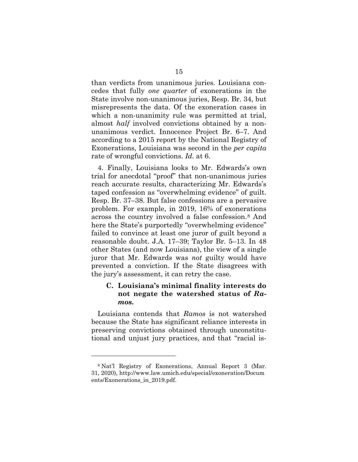than verdicts from unanimous juries. Louisiana concedes that fully *one quarter* of exonerations in the State involve non-unanimous juries, Resp. Br. 34, but misrepresents the data. Of the exoneration cases in which a non-unanimity rule was permitted at trial, almost *half* involved convictions obtained by a nonunanimous verdict. Innocence Project Br. 6–7. And according to a 2015 report by the National Registry of Exonerations, Louisiana was second in the *per capita*  rate of wrongful convictions. *Id.* at 6.

4. Finally, Louisiana looks to Mr. Edwards's own trial for anecdotal "proof" that non-unanimous juries reach accurate results, characterizing Mr. Edwards's taped confession as "overwhelming evidence" of guilt. Resp. Br. 37–38. But false confessions are a pervasive problem. For example, in 2019, 16% of exonerations across the country involved a false confession.[8](#page-22-0) And here the State's purportedly "overwhelming evidence" failed to convince at least one juror of guilt beyond a reasonable doubt. J.A. 17–39; Taylor Br. 5–13. In 48 other States (and now Louisiana), the view of a single juror that Mr. Edwards was *not* guilty would have prevented a conviction. If the State disagrees with the jury's assessment, it can retry the case.

## **C. Louisiana's minimal finality interests do not negate the watershed status of** *Ramos***.**

Louisiana contends that *Ramos* is not watershed because the State has significant reliance interests in preserving convictions obtained through unconstitutional and unjust jury practices, and that "racial is-

<span id="page-22-0"></span><sup>8</sup> Nat'l Registry of Exonerations, Annual Report 3 (Mar. 31, 2020), http://www.law.umich.edu/special/exoneration/Docum ents/Exonerations in 2019.pdf.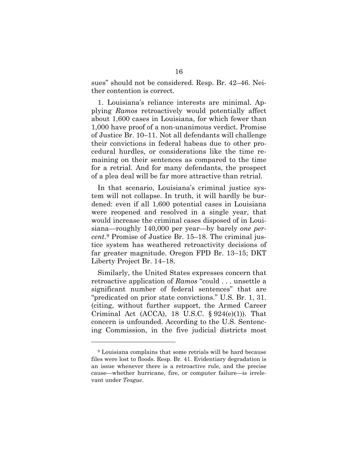sues" should not be considered. Resp. Br. 42–46. Neither contention is correct.

1. Louisiana's reliance interests are minimal. Applying *Ramos* retroactively would potentially affect about 1,600 cases in Louisiana, for which fewer than 1,000 have proof of a non-unanimous verdict. Promise of Justice Br. 10–11. Not all defendants will challenge their convictions in federal habeas due to other procedural hurdles, or considerations like the time remaining on their sentences as compared to the time for a retrial. And for many defendants, the prospect of a plea deal will be far more attractive than retrial.

In that scenario, Louisiana's criminal justice system will not collapse. In truth, it will hardly be burdened: even if all 1,600 potential cases in Louisiana were reopened and resolved in a single year, that would increase the criminal cases disposed of in Louisiana—roughly 140,000 per year—by barely *one percent*.[9](#page-23-0) Promise of Justice Br. 15–18. The criminal justice system has weathered retroactivity decisions of far greater magnitude. Oregon FPD Br. 13–15; DKT Liberty Project Br. 14–18.

Similarly, the United States expresses concern that retroactive application of *Ramos* "could . . . unsettle a significant number of federal sentences" that are "predicated on prior state convictions." U.S. Br. 1, 31. (citing, without further support, the Armed Career Criminal Act (ACCA), 18 U.S.C.  $\S 924(e)(1)$ ). That concern is unfounded. According to the U.S. Sentencing Commission, in the five judicial districts most

<span id="page-23-0"></span><sup>9</sup> Louisiana complains that some retrials will be hard because files were lost to floods. Resp. Br. 41. Evidentiary degradation is an issue whenever there is a retroactive rule, and the precise cause—whether hurricane, fire, or computer failure—is irrelevant under *Teague*.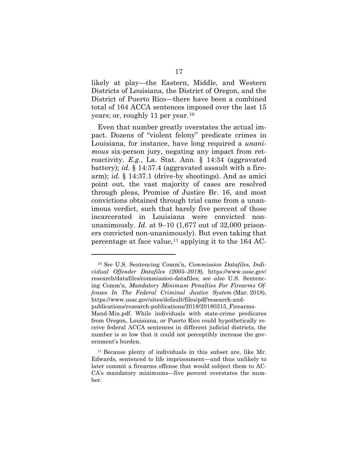likely at play—the Eastern, Middle, and Western Districts of Louisiana, the District of Oregon, and the District of Puerto Rico—there have been a combined total of 164 ACCA sentences imposed over the last 15 years; or, roughly 11 per year.[10](#page-24-0)

Even that number greatly overstates the actual impact. Dozens of "violent felony" predicate crimes in Louisiana, for instance, have long required a *unanimous* six-person jury, negating any impact from retroactivity. *E.g.*, La. Stat. Ann. § 14:34 (aggravated battery); *id.* § 14:37.4 (aggravated assault with a firearm); *id.* § 14:37.1 (drive-by shootings). And as amici point out, the vast majority of cases are resolved through pleas, Promise of Justice Br. 16, and most convictions obtained through trial came from a unanimous verdict, such that barely five percent of those incarcerated in Louisiana were convicted nonunanimously. *Id.* at 9–10 (1,677 out of 32,000 prisoners convicted non-unanimously). But even taking that percentage at face value,<sup>[11](#page-24-1)</sup> applying it to the  $164$  AC-

<u>.</u>

publications/research-publications/2018/20180315\_Firearms-

<span id="page-24-0"></span><sup>10</sup> *See* U.S. Sentencing Comm'n, *Commission Datafiles, Individual Offender Datafiles (2005–2019),* https://www.ussc.gov/ research/datafiles/commission-datafiles; *see also* U.S. Sentencing Comm'n, *Mandatory Minimum Penalties For Firearms Offenses In The Federal Criminal Justice System* (Mar. 2018), https://www.ussc.gov/sites/default/files/pdf/research-and-

Mand-Min.pdf. While individuals with state-crime predicates from Oregon, Louisiana, or Puerto Rico could hypothetically receive federal ACCA sentences in different judicial districts, the number is so low that it could not perceptibly increase the government's burden.

<span id="page-24-1"></span><sup>11</sup> Because plenty of individuals in this subset are, like Mr. Edwards, sentenced to life imprisonment—and thus unlikely to later commit a firearms offense that would subject them to AC-CA's mandatory minimums—five percent overstates the number.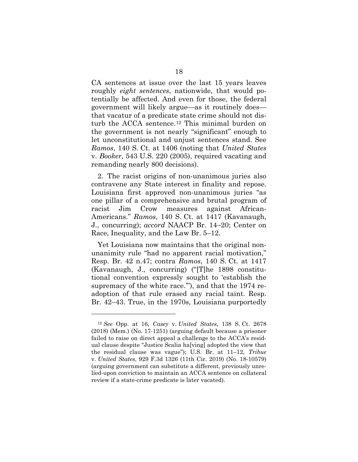CA sentences at issue over the last 15 years leaves roughly *eight sentences*, nationwide, that would potentially be affected. And even for those, the federal government will likely argue—as it routinely does that vacatur of a predicate state crime should not disturb the ACCA sentence.[12](#page-25-0) This minimal burden on the government is not nearly "significant" enough to let unconstitutional and unjust sentences stand. See *Ramos*, 140 S. Ct. at 1406 (noting that *United States* v. *Booker*, 543 U.S. 220 (2005), required vacating and remanding nearly 800 decisions).

2. The racist origins of non-unanimous juries also contravene any State interest in finality and repose. Louisiana first approved non-unanimous juries "as one pillar of a comprehensive and brutal program of racist Jim Crow measures against African-Americans." *Ramos*, 140 S. Ct. at 1417 (Kavanaugh, J., concurring); *accord* NAACP Br. 14–20; Center on Race, Inequality, and the Law Br. 5–12.

Yet Louisiana now maintains that the original nonunanimity rule "had no apparent racial motivation," Resp. Br. 42 n.47; contra *Ramos*, 140 S. Ct. at 1417 (Kavanaugh, J., concurring) ("[T]he 1898 constitutional convention expressly sought to 'establish the supremacy of the white race."'), and that the 1974 readoption of that rule erased any racial taint. Resp. Br. 42–43. True, in the 1970s, Louisiana purportedly

<span id="page-25-0"></span><sup>12</sup> *See* Opp. at 16, *Casey* v. *United States*, 138 S. Ct. 2678 (2018) (Mem.) (No. 17-1251) (arguing default because a prisoner failed to raise on direct appeal a challenge to the ACCA's residual clause despite "Justice Scalia ha[ving] adopted the view that the residual clause was vague"); U.S. Br. at 11–12, *Tribue*  v. *United States*, 929 F.3d 1326 (11th Cir. 2019) (No. 18-10579) (arguing government can substitute a different, previously unrelied-upon conviction to maintain an ACCA sentence on collateral review if a state-crime predicate is later vacated).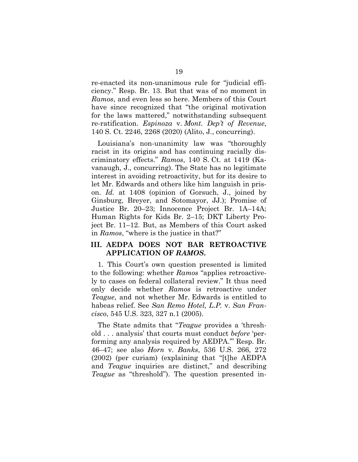re-enacted its non-unanimous rule for "judicial efficiency." Resp. Br. 13. But that was of no moment in *Ramos*, and even less so here. Members of this Court have since recognized that "the original motivation for the laws mattered," notwithstanding subsequent re-ratification. *Espinoza* v. *Mont. Dep't of Revenue*, 140 S. Ct. 2246, 2268 (2020) (Alito, J., concurring).

Louisiana's non-unanimity law was "thoroughly racist in its origins and has continuing racially discriminatory effects." *Ramos*, 140 S. Ct. at 1419 (Kavanaugh, J., concurring). The State has no legitimate interest in avoiding retroactivity, but for its desire to let Mr. Edwards and others like him languish in prison. *Id.* at 1408 (opinion of Gorsuch, J., joined by Ginsburg, Breyer, and Sotomayor, JJ.); Promise of Justice Br. 20–23; Innocence Project Br. 1A–14A; Human Rights for Kids Br. 2–15; DKT Liberty Project Br. 11–12. But, as Members of this Court asked in *Ramos*, "where is the justice in that?"

### **III. AEDPA DOES NOT BAR RETROACTIVE APPLICATION OF** *RAMOS***.**

1. This Court's own question presented is limited to the following: whether *Ramos* "applies retroactively to cases on federal collateral review." It thus need only decide whether *Ramos* is retroactive under *Teague*, and not whether Mr. Edwards is entitled to habeas relief. See *San Remo Hotel, L.P.* v. *San Francisco*, 545 U.S. 323, 327 n.1 (2005).

The State admits that "*Teague* provides a 'threshold . . . analysis' that courts must conduct *before* 'performing any analysis required by AEDPA.'" Resp. Br. 46–47; see also *Horn* v. *Banks*, 536 U.S. 266, 272 (2002) (per curiam) (explaining that "[t]he AEDPA and *Teague* inquiries are distinct," and describing *Teague* as "threshold"). The question presented in-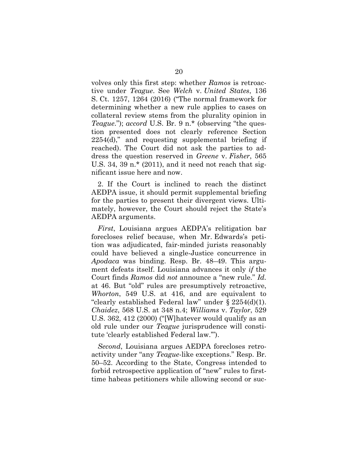volves only this first step: whether *Ramos* is retroactive under *Teague*. See *Welch* v. *United States*, 136 S. Ct. 1257, 1264 (2016) ("The normal framework for determining whether a new rule applies to cases on collateral review stems from the plurality opinion in *Teague*."); *accord* U.S. Br. 9 n.\* (observing "the question presented does not clearly reference Section 2254(d)," and requesting supplemental briefing if reached). The Court did not ask the parties to address the question reserved in *Greene* v. *Fisher*, 565 U.S. 34, 39 n. $*(2011)$ , and it need not reach that significant issue here and now.

2. If the Court is inclined to reach the distinct AEDPA issue, it should permit supplemental briefing for the parties to present their divergent views. Ultimately, however, the Court should reject the State's AEDPA arguments.

*First*, Louisiana argues AEDPA's relitigation bar forecloses relief because, when Mr. Edwards's petition was adjudicated, fair-minded jurists reasonably could have believed a single-Justice concurrence in *Apodaca* was binding. Resp. Br. 48–49. This argument defeats itself. Louisiana advances it only *if* the Court finds *Ramos* did *not* announce a "new rule." *Id.* at 46. But "old" rules are presumptively retroactive, *Whorton*, 549 U.S. at 416, and are equivalent to "clearly established Federal law" under § 2254(d)(1). *Chaidez*, 568 U.S. at 348 n.4; *Williams* v. *Taylor*, 529 U.S. 362, 412 (2000) ("[W]hatever would qualify as an old rule under our *Teague* jurisprudence will constitute 'clearly established Federal law.'").

*Second*, Louisiana argues AEDPA forecloses retroactivity under "any *Teague*-like exceptions." Resp. Br. 50–52. According to the State, Congress intended to forbid retrospective application of "new" rules to firsttime habeas petitioners while allowing second or suc-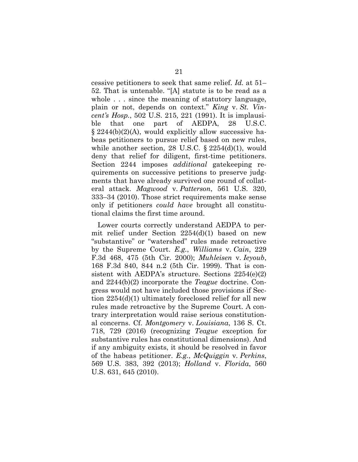cessive petitioners to seek that same relief. *Id.* at 51– 52. That is untenable. "[A] statute is to be read as a whole . . . since the meaning of statutory language, plain or not, depends on context." *King* v. *St. Vincent's Hosp.*, 502 U.S. 215, 221 (1991). It is implausible that one part of AEDPA, 28 U.S.C. § 2244(b)(2)(A), would explicitly allow successive habeas petitioners to pursue relief based on new rules, while another section, 28 U.S.C. § 2254(d)(1), would deny that relief for diligent, first-time petitioners. Section 2244 imposes *additional* gatekeeping requirements on successive petitions to preserve judgments that have already survived one round of collateral attack. *Magwood* v. *Patterson*, 561 U.S. 320, 333–34 (2010). Those strict requirements make sense only if petitioners *could have* brought all constitutional claims the first time around.

Lower courts correctly understand AEDPA to permit relief under Section 2254(d)(1) based on new "substantive" or "watershed" rules made retroactive by the Supreme Court. *E.g.*, *Williams* v. *Cain*, 229 F.3d 468, 475 (5th Cir. 2000); *Muhleisen* v. *Ieyoub*, 168 F.3d 840, 844 n.2 (5th Cir. 1999). That is consistent with AEDPA's structure. Sections 2254(e)(2) and 2244(b)(2) incorporate the *Teague* doctrine. Congress would not have included those provisions if Section 2254(d)(1) ultimately foreclosed relief for all new rules made retroactive by the Supreme Court. A contrary interpretation would raise serious constitutional concerns. Cf. *Montgomery* v. *Louisiana*, 136 S. Ct. 718, 729 (2016) (recognizing *Teague* exception for substantive rules has constitutional dimensions). And if any ambiguity exists, it should be resolved in favor of the habeas petitioner. *E.g.*, *McQuiggin* v*. Perkins*, 569 U.S. 383, 392 (2013); *Holland* v. *Florida*, 560 U.S. 631, 645 (2010).